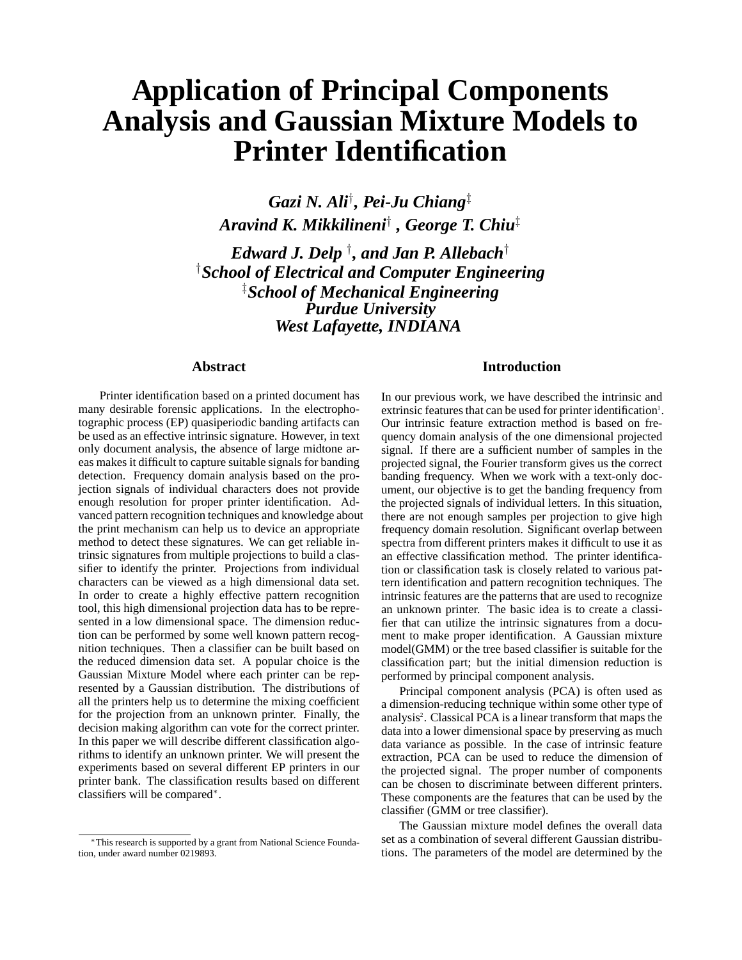# **Application of Principal Components Analysis and Gaussian Mixture Models to Printer Identification**

*Gazi N. Ali*† *, Pei-Ju Chiang*‡ *Aravind K. Mikkilineni*† *, George T. Chiu*‡

*Edward J. Delp* † *, and Jan P. Allebach*† † *School of Electrical and Computer Engineering* ‡ *School of Mechanical Engineering Purdue University West Lafayette, INDIANA*

# **Abstract**

Printer identification based on a printed document has many desirable forensic applications. In the electrophotographic process (EP) quasiperiodic banding artifacts can be used as an effective intrinsic signature. However, in text only document analysis, the absence of large midtone areas makes it difficult to capture suitable signals for banding detection. Frequency domain analysis based on the projection signals of individual characters does not provide enough resolution for proper printer identification. Advanced pattern recognition techniques and knowledge about the print mechanism can help us to device an appropriate method to detect these signatures. We can get reliable intrinsic signatures from multiple projections to build a classifier to identify the printer. Projections from individual characters can be viewed as a high dimensional data set. In order to create a highly effective pattern recognition tool, this high dimensional projection data has to be represented in a low dimensional space. The dimension reduction can be performed by some well known pattern recognition techniques. Then a classifier can be built based on the reduced dimension data set. A popular choice is the Gaussian Mixture Model where each printer can be represented by a Gaussian distribution. The distributions of all the printers help us to determine the mixing coefficient for the projection from an unknown printer. Finally, the decision making algorithm can vote for the correct printer. In this paper we will describe different classification algorithms to identify an unknown printer. We will present the experiments based on several different EP printers in our printer bank. The classification results based on different classifiers will be compared∗.

# **Introduction**

In our previous work, we have described the intrinsic and extrinsic features that can be used for printer identification<sup>1</sup>. Our intrinsic feature extraction method is based on frequency domain analysis of the one dimensional projected signal. If there are a sufficient number of samples in the projected signal, the Fourier transform gives us the correct banding frequency. When we work with a text-only document, our objective is to get the banding frequency from the projected signals of individual letters. In this situation, there are not enough samples per projection to give high frequency domain resolution. Significant overlap between spectra from different printers makes it difficult to use it as an effective classification method. The printer identification or classification task is closely related to various pattern identification and pattern recognition techniques. The intrinsic features are the patterns that are used to recognize an unknown printer. The basic idea is to create a classifier that can utilize the intrinsic signatures from a document to make proper identification. A Gaussian mixture model(GMM) or the tree based classifier is suitable for the classification part; but the initial dimension reduction is performed by principal component analysis.

Principal component analysis (PCA) is often used as a dimension-reducing technique within some other type of analysis<sup>2</sup>. Classical PCA is a linear transform that maps the data into a lower dimensional space by preserving as much data variance as possible. In the case of intrinsic feature extraction, PCA can be used to reduce the dimension of the projected signal. The proper number of components can be chosen to discriminate between different printers. These components are the features that can be used by the classifier (GMM or tree classifier).

The Gaussian mixture model defines the overall data set as a combination of several different Gaussian distributions. The parameters of the model are determined by the

<sup>∗</sup>This research is supported by a grant from National Science Foundation, under award number 0219893.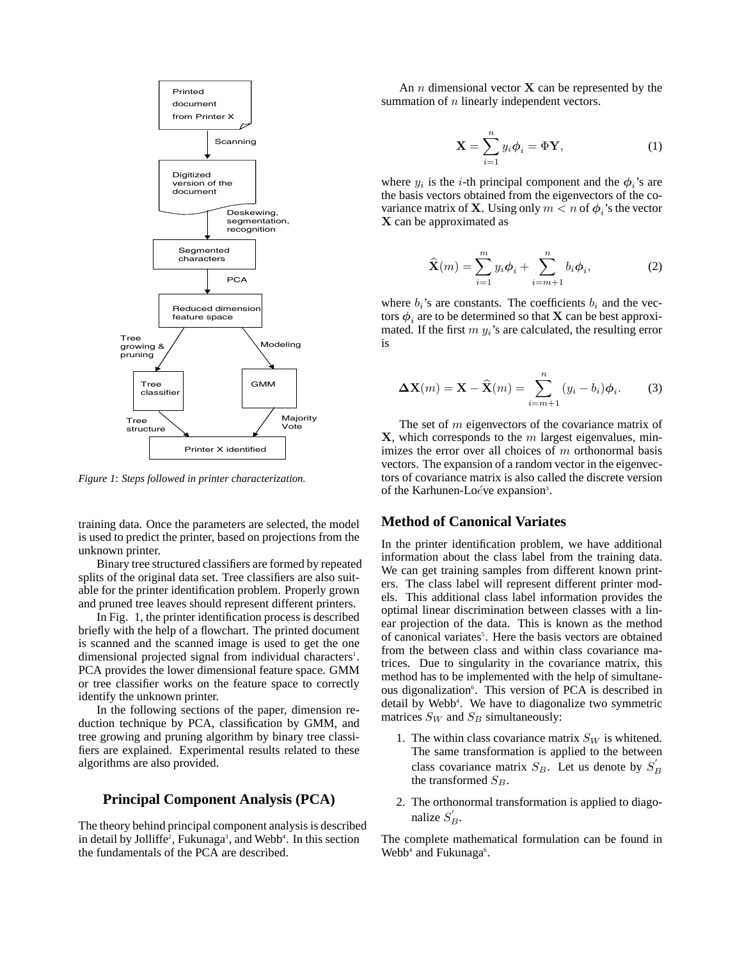

*Figure 1*: *Steps followed in printer characterization.*

training data. Once the parameters are selected, the model is used to predict the printer, based on projections from the unknown printer.

Binary tree structured classifiers are formed by repeated splits of the original data set. Tree classifiers are also suitable for the printer identification problem. Properly grown and pruned tree leaves should represent different printers.

In Fig. 1, the printer identification process is described briefly with the help of a flowchart. The printed document is scanned and the scanned image is used to get the one dimensional projected signal from individual characters<sup>1</sup>. PCA provides the lower dimensional feature space. GMM or tree classifier works on the feature space to correctly identify the unknown printer.

In the following sections of the paper, dimension reduction technique by PCA, classification by GMM, and tree growing and pruning algorithm by binary tree classifiers are explained. Experimental results related to these algorithms are also provided.

# **Principal Component Analysis (PCA)**

The theory behind principal component analysis is described in detail by Jolliffe<sup>2</sup>, Fukunaga<sup>3</sup>, and Webb<sup>4</sup>. In this section the fundamentals of the PCA are described.

An n dimensional vector **X** can be represented by the summation of *n* linearly independent vectors.

$$
\mathbf{X} = \sum_{i=1}^{n} y_i \boldsymbol{\phi}_i = \boldsymbol{\Phi} \mathbf{Y},
$$
 (1)

where  $y_i$  is the *i*-th principal component and the  $\phi_i$ 's are the basis vectors obtained from the eigenvectors of the covariance matrix of **X**. Using only  $m < n$  of  $\phi_i$ 's the vector **X** can be approximated as

$$
\widehat{\mathbf{X}}(m) = \sum_{i=1}^{m} y_i \boldsymbol{\phi}_i + \sum_{i=m+1}^{n} b_i \boldsymbol{\phi}_i, \tag{2}
$$

where  $b_i$ 's are constants. The coefficients  $b_i$  and the vectors  $\phi_i$  are to be determined so that **X** can be best approximated. If the first  $m y_i$ 's are calculated, the resulting error is

$$
\Delta \mathbf{X}(m) = \mathbf{X} - \widehat{\mathbf{X}}(m) = \sum_{i=m+1}^{n} (y_i - b_i) \phi_i.
$$
 (3)

The set of m eigenvectors of the covariance matrix of **X**, which corresponds to the m largest eigenvalues, minimizes the error over all choices of  $m$  orthonormal basis vectors. The expansion of a random vector in the eigenvectors of covariance matrix is also called the discrete version of the Karhunen-Loéve expansion<sup>3</sup>.

### **Method of Canonical Variates**

In the printer identification problem, we have additional information about the class label from the training data. We can get training samples from different known printers. The class label will represent different printer models. This additional class label information provides the optimal linear discrimination between classes with a linear projection of the data. This is known as the method of canonical variates<sup>5</sup>. Here the basis vectors are obtained from the between class and within class covariance matrices. Due to singularity in the covariance matrix, this method has to be implemented with the help of simultaneous digonalization<sup>6</sup>. This version of PCA is described in detail by Webb<sup>4</sup>. We have to diagonalize two symmetric matrices  $S_W$  and  $S_B$  simultaneously:

- 1. The within class covariance matrix  $S_W$  is whitened. The same transformation is applied to the between class covariance matrix  $S_B$ . Let us denote by  $S'_B$ the transformed  $S_B$ .
- 2. The orthonormal transformation is applied to diagonalize  $S'_B$ .

The complete mathematical formulation can be found in Webb<sup>4</sup> and Fukunaga<sup>6</sup>.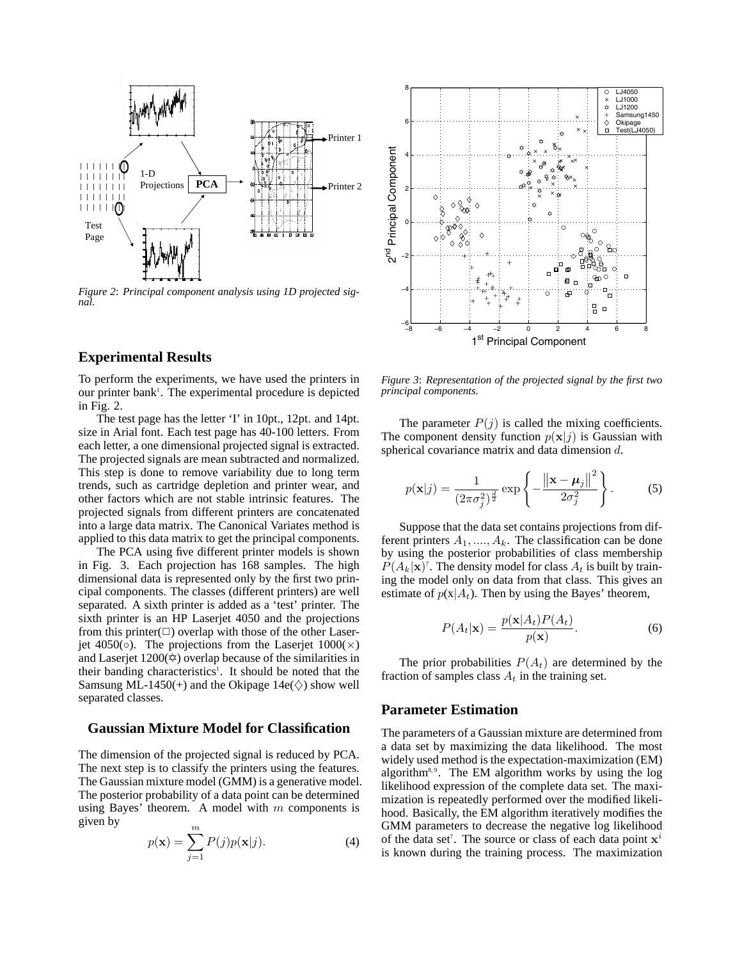

*Figure 2*: *Principal component analysis using 1D projected signal.*

#### **Experimental Results**

To perform the experiments, we have used the printers in our printer bank<sup>1</sup>. The experimental procedure is depicted in Fig. 2.

The test page has the letter 'I' in 10pt., 12pt. and 14pt. size in Arial font. Each test page has 40-100 letters. From each letter, a one dimensional projected signal is extracted. The projected signals are mean subtracted and normalized. This step is done to remove variability due to long term trends, such as cartridge depletion and printer wear, and other factors which are not stable intrinsic features. The projected signals from different printers are concatenated into a large data matrix. The Canonical Variates method is applied to this data matrix to get the principal components.

The PCA using five different printer models is shown in Fig. 3. Each projection has 168 samples. The high dimensional data is represented only by the first two principal components. The classes (different printers) are well separated. A sixth printer is added as a 'test' printer. The sixth printer is an HP Laserjet 4050 and the projections from this printer $(\Box)$  overlap with those of the other Laserjet 4050(◦). The projections from the Laserjet  $1000(\times)$ and Laserjet  $1200 \approx$  overlap because of the similarities in their banding characteristics<sup>1</sup>. It should be noted that the Samsung ML-1450(+) and the Okipage  $14e(\diamond)$  show well separated classes.

#### **Gaussian Mixture Model for Classification**

The dimension of the projected signal is reduced by PCA. The next step is to classify the printers using the features. The Gaussian mixture model (GMM) is a generative model. The posterior probability of a data point can be determined using Bayes' theorem. A model with  $m$  components is given by

$$
p(\mathbf{x}) = \sum_{j=1}^{m} P(j)p(\mathbf{x}|j).
$$
 (4)



*Figure 3*: *Representation of the projected signal by the first two principal components.*

The parameter  $P(j)$  is called the mixing coefficients. The component density function  $p(\mathbf{x}|j)$  is Gaussian with spherical covariance matrix and data dimension d.

$$
p(\mathbf{x}|j) = \frac{1}{(2\pi\sigma_j^2)^{\frac{d}{2}}} \exp\left\{-\frac{\left\|\mathbf{x} - \boldsymbol{\mu}_j\right\|^2}{2\sigma_j^2}\right\}.
$$
 (5)

Suppose that the data set contains projections from different printers  $A_1, \ldots, A_k$ . The classification can be done by using the posterior probabilities of class membership  $P(A_k|\mathbf{x})^{\dagger}$ . The density model for class  $A_t$  is built by training the model only on data from that class. This gives an estimate of  $p(x|A_t)$ . Then by using the Bayes' theorem,

$$
P(A_t|\mathbf{x}) = \frac{p(\mathbf{x}|A_t)P(A_t)}{p(\mathbf{x})}.
$$
 (6)

The prior probabilities  $P(A_t)$  are determined by the fraction of samples class  $A_t$  in the training set.

#### **Parameter Estimation**

The parameters of a Gaussian mixture are determined from a data set by maximizing the data likelihood. The most widely used method is the expectation-maximization (EM) algorithm<sup>8,9</sup>. The EM algorithm works by using the  $log$ likelihood expression of the complete data set. The maximization is repeatedly performed over the modified likelihood. Basically, the EM algorithm iteratively modifies the GMM parameters to decrease the negative log likelihood of the data set7 . The source or class of each data point **x***<sup>i</sup>* is known during the training process. The maximization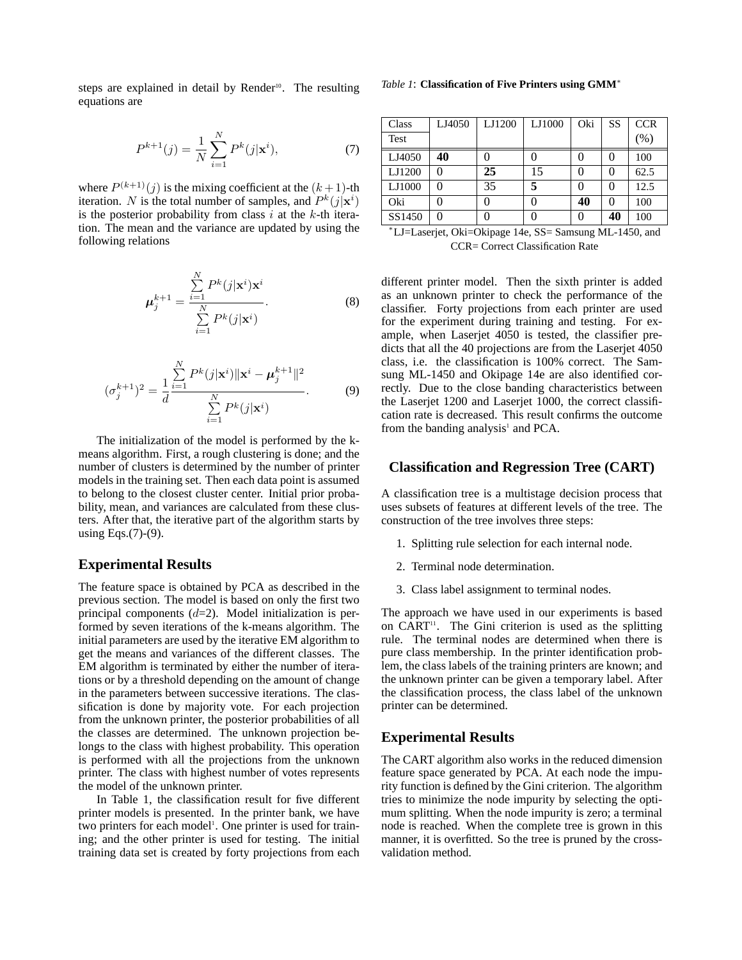steps are explained in detail by Render<sup>10</sup>. The resulting equations are

$$
P^{k+1}(j) = \frac{1}{N} \sum_{i=1}^{N} P^k(j|\mathbf{x}^i),
$$
 (7)

where  $P^{(k+1)}(j)$  is the mixing coefficient at the  $(k+1)$ -th iteration. N is the total number of samples, and  $P^k(j|\mathbf{x}^i)$ is the posterior probability from class  $i$  at the  $k$ -th iteration. The mean and the variance are updated by using the following relations

$$
\mu_j^{k+1} = \frac{\sum\limits_{i=1}^N P^k(j|\mathbf{x}^i)\mathbf{x}^i}{\sum\limits_{i=1}^N P^k(j|\mathbf{x}^i)}.
$$
 (8)

$$
(\sigma_j^{k+1})^2 = \frac{1}{d} \frac{\sum_{i=1}^N P^k(j|\mathbf{x}^i) ||\mathbf{x}^i - \boldsymbol{\mu}_j^{k+1}||^2}{\sum_{i=1}^N P^k(j|\mathbf{x}^i)}.
$$
 (9)

The initialization of the model is performed by the kmeans algorithm. First, a rough clustering is done; and the number of clusters is determined by the number of printer models in the training set. Then each data point is assumed to belong to the closest cluster center. Initial prior probability, mean, and variances are calculated from these clusters. After that, the iterative part of the algorithm starts by using Eqs.(7)-(9).

# **Experimental Results**

The feature space is obtained by PCA as described in the previous section. The model is based on only the first two principal components  $(d=2)$ . Model initialization is performed by seven iterations of the k-means algorithm. The initial parameters are used by the iterative EM algorithm to get the means and variances of the different classes. The EM algorithm is terminated by either the number of iterations or by a threshold depending on the amount of change in the parameters between successive iterations. The classification is done by majority vote. For each projection from the unknown printer, the posterior probabilities of all the classes are determined. The unknown projection belongs to the class with highest probability. This operation is performed with all the projections from the unknown printer. The class with highest number of votes represents the model of the unknown printer.

In Table 1, the classification result for five different printer models is presented. In the printer bank, we have two printers for each model<sup>1</sup>. One printer is used for training; and the other printer is used for testing. The initial training data set is created by forty projections from each

|  | Table 1: Classification of Five Printers using GMM* |  |  |  |  |
|--|-----------------------------------------------------|--|--|--|--|
|--|-----------------------------------------------------|--|--|--|--|

| Class  | LJ4050 | LJ1200 | LJ1000 | Oki | SS           | <b>CCR</b> |
|--------|--------|--------|--------|-----|--------------|------------|
| Test   |        |        |        |     |              | (% )       |
| LJ4050 | 40     |        |        |     |              | 100        |
| LJ1200 |        | 25     | 15     |     |              | 62.5       |
| LJ1000 |        | 35     | 5      |     |              | 12.5       |
| Oki    |        |        |        | 40  | $\mathbf{0}$ | 100        |
| SS1450 |        |        |        |     | 40           | 100        |

<sup>∗</sup>LJ=Laserjet, Oki=Okipage 14e, SS= Samsung ML-1450, and CCR= Correct Classification Rate

different printer model. Then the sixth printer is added as an unknown printer to check the performance of the classifier. Forty projections from each printer are used for the experiment during training and testing. For example, when Laserjet 4050 is tested, the classifier predicts that all the 40 projections are from the Laserjet 4050 class, i.e. the classification is 100% correct. The Samsung ML-1450 and Okipage 14e are also identified correctly. Due to the close banding characteristics between the Laserjet 1200 and Laserjet 1000, the correct classification rate is decreased. This result confirms the outcome from the banding analysis<sup>1</sup> and PCA.

#### **Classification and Regression Tree (CART)**

A classification tree is a multistage decision process that uses subsets of features at different levels of the tree. The construction of the tree involves three steps:

- 1. Splitting rule selection for each internal node.
- 2. Terminal node determination.
- 3. Class label assignment to terminal nodes.

The approach we have used in our experiments is based on CART<sup>11</sup>. The Gini criterion is used as the splitting rule. The terminal nodes are determined when there is pure class membership. In the printer identification problem, the class labels of the training printers are known; and the unknown printer can be given a temporary label. After the classification process, the class label of the unknown printer can be determined.

## **Experimental Results**

The CART algorithm also works in the reduced dimension feature space generated by PCA. At each node the impurity function is defined by the Gini criterion. The algorithm tries to minimize the node impurity by selecting the optimum splitting. When the node impurity is zero; a terminal node is reached. When the complete tree is grown in this manner, it is overfitted. So the tree is pruned by the crossvalidation method.